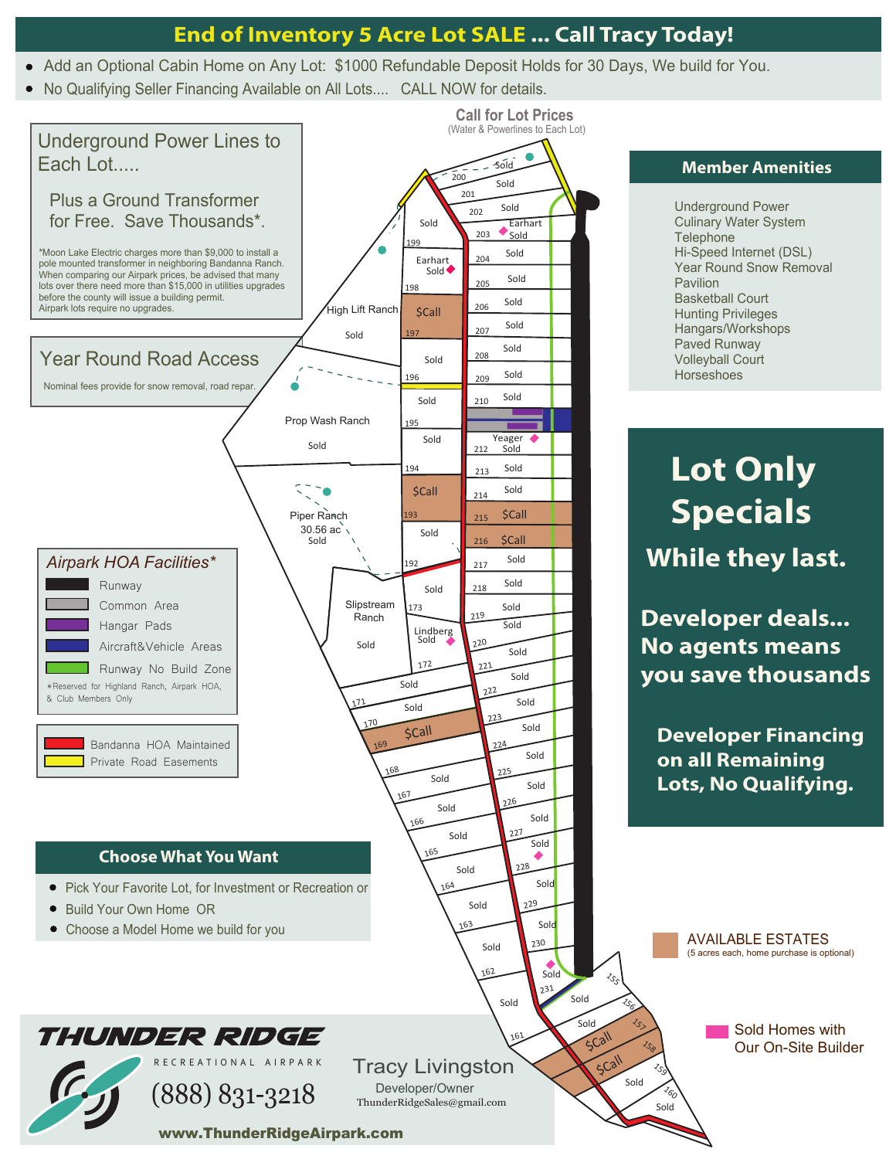## **End of Inventory 5 Acre Lot SALE ... Call Tracy Today!**

- Add an Optional Cabin Home on Any Lot: \$1000 Refundable Deposit Holds for 30 Days, We build for You.
- No Qualifying Seller Financing Available on All Lots.... CALL NOW for details.



www.ThunderRidgeAirpark.com

#### **Member Amenities**

Underground Power Culinary Water System **Telephone** Hi-Speed Internet (DSL) Year Round Snow Removal Pavilion Basketball Court Hunting Privileges Hangars/Workshops Paved Runway Volleyball Court **Horseshoes** 

# **Lot Only Specials While they last.**

**Developer deals... No agents means you save thousands**

**Developer Financing on all Remaining Lots, No Qualifying.**

> AVAILABLE ESTATES (5 acres each, home purchase is optional)

> > Sold Homes with Our On-Site Builder